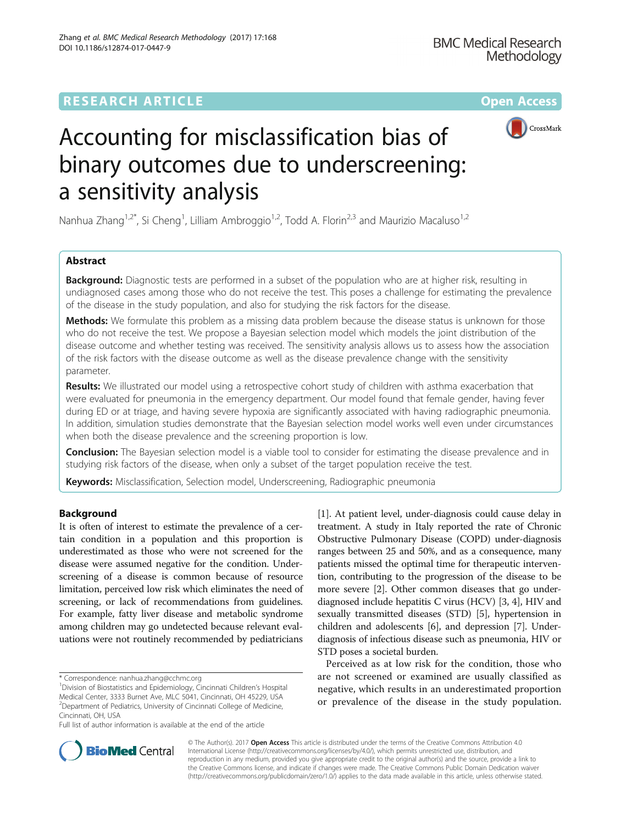# **RESEARCH ARTICLE Example 2018 12:00 Department 2018 12:00 Department 2018 12:00 Department 2018**



# Accounting for misclassification bias of binary outcomes due to underscreening: a sensitivity analysis

Nanhua Zhang<sup>1,2\*</sup>, Si Cheng<sup>1</sup>, Lilliam Ambroggio<sup>1,2</sup>, Todd A. Florin<sup>2,3</sup> and Maurizio Macaluso<sup>1,2</sup>

# Abstract

**Background:** Diagnostic tests are performed in a subset of the population who are at higher risk, resulting in undiagnosed cases among those who do not receive the test. This poses a challenge for estimating the prevalence of the disease in the study population, and also for studying the risk factors for the disease.

**Methods:** We formulate this problem as a missing data problem because the disease status is unknown for those who do not receive the test. We propose a Bayesian selection model which models the joint distribution of the disease outcome and whether testing was received. The sensitivity analysis allows us to assess how the association of the risk factors with the disease outcome as well as the disease prevalence change with the sensitivity parameter.

Results: We illustrated our model using a retrospective cohort study of children with asthma exacerbation that were evaluated for pneumonia in the emergency department. Our model found that female gender, having fever during ED or at triage, and having severe hypoxia are significantly associated with having radiographic pneumonia. In addition, simulation studies demonstrate that the Bayesian selection model works well even under circumstances when both the disease prevalence and the screening proportion is low.

**Conclusion:** The Bayesian selection model is a viable tool to consider for estimating the disease prevalence and in studying risk factors of the disease, when only a subset of the target population receive the test.

Keywords: Misclassification, Selection model, Underscreening, Radiographic pneumonia

# Background

It is often of interest to estimate the prevalence of a certain condition in a population and this proportion is underestimated as those who were not screened for the disease were assumed negative for the condition. Underscreening of a disease is common because of resource limitation, perceived low risk which eliminates the need of screening, or lack of recommendations from guidelines. For example, fatty liver disease and metabolic syndrome among children may go undetected because relevant evaluations were not routinely recommended by pediatricians

Full list of author information is available at the end of the article

[[1\]](#page-7-0). At patient level, under-diagnosis could cause delay in treatment. A study in Italy reported the rate of Chronic Obstructive Pulmonary Disease (COPD) under-diagnosis ranges between 25 and 50%, and as a consequence, many patients missed the optimal time for therapeutic intervention, contributing to the progression of the disease to be more severe [\[2](#page-7-0)]. Other common diseases that go underdiagnosed include hepatitis C virus (HCV) [\[3](#page-7-0), [4](#page-7-0)], HIV and sexually transmitted diseases (STD) [[5\]](#page-7-0), hypertension in children and adolescents [\[6](#page-7-0)], and depression [[7\]](#page-7-0). Underdiagnosis of infectious disease such as pneumonia, HIV or STD poses a societal burden.

Perceived as at low risk for the condition, those who are not screened or examined are usually classified as negative, which results in an underestimated proportion or prevalence of the disease in the study population.



© The Author(s). 2017 **Open Access** This article is distributed under the terms of the Creative Commons Attribution 4.0 International License [\(http://creativecommons.org/licenses/by/4.0/](http://creativecommons.org/licenses/by/4.0/)), which permits unrestricted use, distribution, and reproduction in any medium, provided you give appropriate credit to the original author(s) and the source, provide a link to the Creative Commons license, and indicate if changes were made. The Creative Commons Public Domain Dedication waiver [\(http://creativecommons.org/publicdomain/zero/1.0/](http://creativecommons.org/publicdomain/zero/1.0/)) applies to the data made available in this article, unless otherwise stated.

<sup>\*</sup> Correspondence: [nanhua.zhang@cchmc.org](mailto:nanhua.zhang@cchmc.org) <sup>1</sup>

<sup>&</sup>lt;sup>1</sup> Division of Biostatistics and Epidemiology, Cincinnati Children's Hospital Medical Center, 3333 Burnet Ave, MLC 5041, Cincinnati, OH 45229, USA <sup>2</sup>Department of Pediatrics, University of Cincinnati College of Medicine, Cincinnati, OH, USA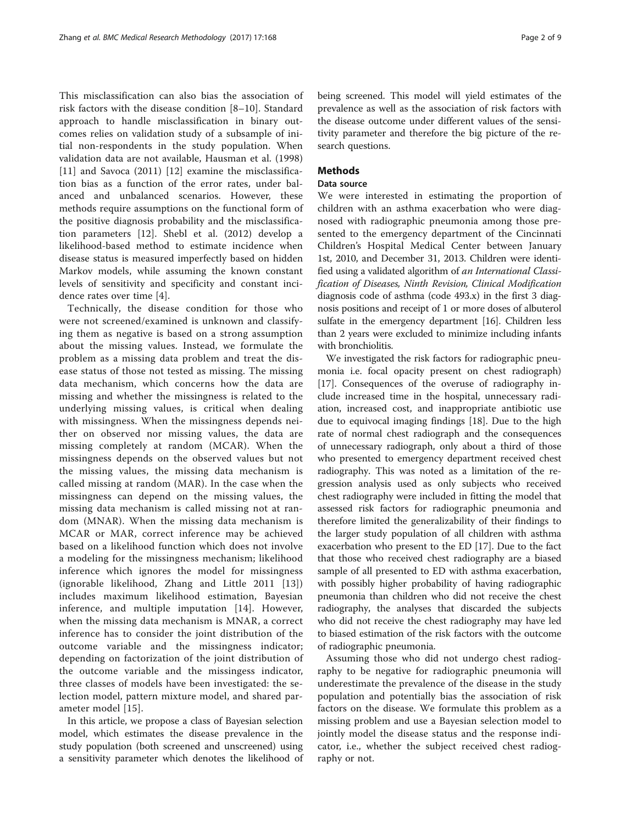This misclassification can also bias the association of risk factors with the disease condition [[8](#page-7-0)–[10\]](#page-7-0). Standard approach to handle misclassification in binary outcomes relies on validation study of a subsample of initial non-respondents in the study population. When validation data are not available, Hausman et al. (1998) [[11\]](#page-7-0) and Savoca (2011) [\[12](#page-7-0)] examine the misclassification bias as a function of the error rates, under balanced and unbalanced scenarios. However, these methods require assumptions on the functional form of the positive diagnosis probability and the misclassification parameters [[12](#page-7-0)]. Shebl et al. (2012) develop a likelihood-based method to estimate incidence when disease status is measured imperfectly based on hidden Markov models, while assuming the known constant levels of sensitivity and specificity and constant incidence rates over time [[4\]](#page-7-0).

Technically, the disease condition for those who were not screened/examined is unknown and classifying them as negative is based on a strong assumption about the missing values. Instead, we formulate the problem as a missing data problem and treat the disease status of those not tested as missing. The missing data mechanism, which concerns how the data are missing and whether the missingness is related to the underlying missing values, is critical when dealing with missingness. When the missingness depends neither on observed nor missing values, the data are missing completely at random (MCAR). When the missingness depends on the observed values but not the missing values, the missing data mechanism is called missing at random (MAR). In the case when the missingness can depend on the missing values, the missing data mechanism is called missing not at random (MNAR). When the missing data mechanism is MCAR or MAR, correct inference may be achieved based on a likelihood function which does not involve a modeling for the missingness mechanism; likelihood inference which ignores the model for missingness (ignorable likelihood, Zhang and Little 2011 [[13](#page-7-0)]) includes maximum likelihood estimation, Bayesian inference, and multiple imputation [\[14](#page-8-0)]. However, when the missing data mechanism is MNAR, a correct inference has to consider the joint distribution of the outcome variable and the missingness indicator; depending on factorization of the joint distribution of the outcome variable and the missingess indicator, three classes of models have been investigated: the selection model, pattern mixture model, and shared parameter model [[15\]](#page-8-0).

In this article, we propose a class of Bayesian selection model, which estimates the disease prevalence in the study population (both screened and unscreened) using a sensitivity parameter which denotes the likelihood of being screened. This model will yield estimates of the prevalence as well as the association of risk factors with the disease outcome under different values of the sensitivity parameter and therefore the big picture of the research questions.

# **Methods**

## Data source

We were interested in estimating the proportion of children with an asthma exacerbation who were diagnosed with radiographic pneumonia among those presented to the emergency department of the Cincinnati Children's Hospital Medical Center between January 1st, 2010, and December 31, 2013. Children were identified using a validated algorithm of an International Classification of Diseases, Ninth Revision, Clinical Modification diagnosis code of asthma (code 493.x) in the first 3 diagnosis positions and receipt of 1 or more doses of albuterol sulfate in the emergency department [[16](#page-8-0)]. Children less than 2 years were excluded to minimize including infants with bronchiolitis.

We investigated the risk factors for radiographic pneumonia i.e. focal opacity present on chest radiograph) [[17\]](#page-8-0). Consequences of the overuse of radiography include increased time in the hospital, unnecessary radiation, increased cost, and inappropriate antibiotic use due to equivocal imaging findings [[18\]](#page-8-0). Due to the high rate of normal chest radiograph and the consequences of unnecessary radiograph, only about a third of those who presented to emergency department received chest radiography. This was noted as a limitation of the regression analysis used as only subjects who received chest radiography were included in fitting the model that assessed risk factors for radiographic pneumonia and therefore limited the generalizability of their findings to the larger study population of all children with asthma exacerbation who present to the ED [[17\]](#page-8-0). Due to the fact that those who received chest radiography are a biased sample of all presented to ED with asthma exacerbation, with possibly higher probability of having radiographic pneumonia than children who did not receive the chest radiography, the analyses that discarded the subjects who did not receive the chest radiography may have led to biased estimation of the risk factors with the outcome of radiographic pneumonia.

Assuming those who did not undergo chest radiography to be negative for radiographic pneumonia will underestimate the prevalence of the disease in the study population and potentially bias the association of risk factors on the disease. We formulate this problem as a missing problem and use a Bayesian selection model to jointly model the disease status and the response indicator, i.e., whether the subject received chest radiography or not.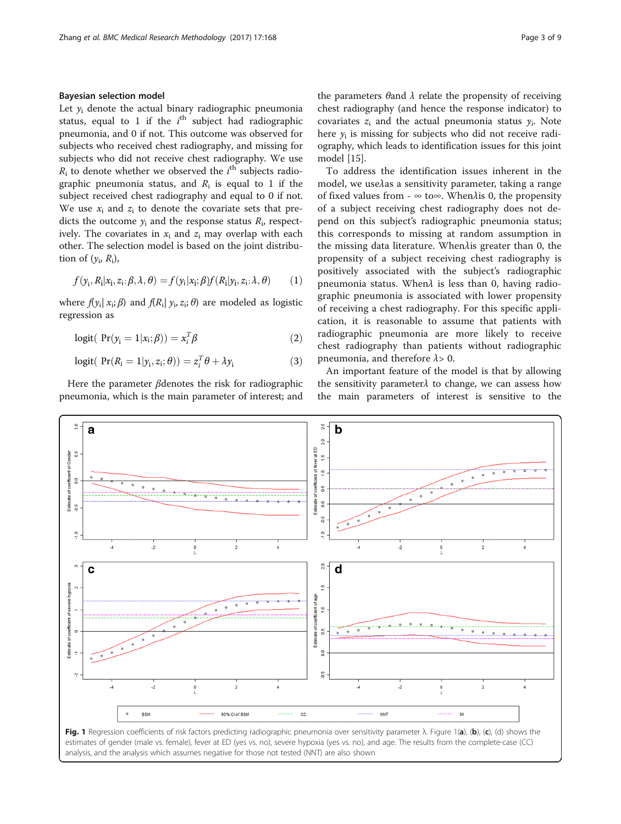# <span id="page-2-0"></span>Bayesian selection model

Let  $y_i$  denote the actual binary radiographic pneumonia status, equal to 1 if the  $i^{\text{th}}$  subject had radiographic pneumonia, and 0 if not. This outcome was observed for subjects who received chest radiography, and missing for subjects who did not receive chest radiography. We use  $R_i$  to denote whether we observed the *i*<sup>th</sup> subjects radiographic pneumonia status, and  $R_i$  is equal to 1 if the subject received chest radiography and equal to 0 if not. We use  $x_i$  and  $z_i$  to denote the covariate sets that predicts the outcome  $y_i$  and the response status  $R_i$ , respectively. The covariates in  $x_i$  and  $z_i$  may overlap with each other. The selection model is based on the joint distribution of  $(y_i, R_i)$ ,

$$
f(y_i, R_i | x_i, z_i; \beta, \lambda, \theta) = f(y_i | x_i; \beta) f(R_i | y_i, z_i; \lambda, \theta)
$$
 (1)

where  $f(y_i | x_i; \beta)$  and  $f(R_i | y_i, z_i; \theta)$  are modeled as logistic regression as

$$
logit( Pr(yi = 1|xi; \beta)) = xiT \beta
$$
 (2)

$$
logit( Pr(Ri = 1 | yi, zi; \theta)) = ziT \theta + \lambda yi
$$
 (3)

Here the parameter  $\beta$ denotes the risk for radiographic pneumonia, which is the main parameter of interest; and

the parameters  $\theta$  and  $\lambda$  relate the propensity of receiving chest radiography (and hence the response indicator) to covariates  $z_i$  and the actual pneumonia status  $y_i$ . Note here  $y_i$  is missing for subjects who did not receive radiography, which leads to identification issues for this joint model [\[15](#page-8-0)].

To address the identification issues inherent in the model, we useλas a sensitivity parameter, taking a range of fixed values from -  $\infty$  to $\infty$ . When lis 0, the propensity of a subject receiving chest radiography does not depend on this subject's radiographic pneumonia status; this corresponds to missing at random assumption in the missing data literature. Whenλis greater than 0, the propensity of a subject receiving chest radiography is positively associated with the subject's radiographic pneumonia status. Whenλ is less than 0, having radiographic pneumonia is associated with lower propensity of receiving a chest radiography. For this specific application, it is reasonable to assume that patients with radiographic pneumonia are more likely to receive chest radiography than patients without radiographic pneumonia, and therefore  $\lambda$  > 0.

An important feature of the model is that by allowing the sensitivity parameter $\lambda$  to change, we can assess how the main parameters of interest is sensitive to the

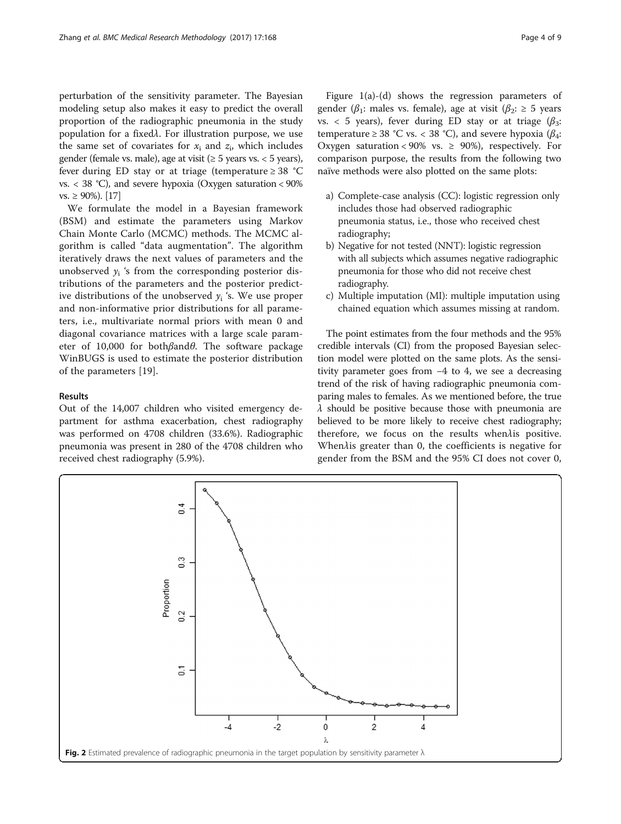<span id="page-3-0"></span>perturbation of the sensitivity parameter. The Bayesian modeling setup also makes it easy to predict the overall proportion of the radiographic pneumonia in the study population for a fixedλ. For illustration purpose, we use the same set of covariates for  $x_i$  and  $z_i$ , which includes gender (female vs. male), age at visit ( $\geq$  5 years vs. < 5 years), fever during ED stay or at triage (temperature  $\geq 38$  °C vs. < 38 °C), and severe hypoxia (Oxygen saturation < 90%  $vs. ≥ 90%$ ). [[17](#page-8-0)]

We formulate the model in a Bayesian framework (BSM) and estimate the parameters using Markov Chain Monte Carlo (MCMC) methods. The MCMC algorithm is called "data augmentation". The algorithm iteratively draws the next values of parameters and the unobserved  $y_i$  's from the corresponding posterior distributions of the parameters and the posterior predictive distributions of the unobserved  $y_i$  's. We use proper and non-informative prior distributions for all parameters, i.e., multivariate normal priors with mean 0 and diagonal covariance matrices with a large scale parameter of 10,000 for bothβandθ. The software package WinBUGS is used to estimate the posterior distribution of the parameters [\[19](#page-8-0)].

## Results

Out of the 14,007 children who visited emergency department for asthma exacerbation, chest radiography was performed on 4708 children (33.6%). Radiographic pneumonia was present in 280 of the 4708 children who received chest radiography (5.9%).

Figure [1\(a](#page-2-0))-([d](#page-2-0)) shows the regression parameters of gender ( $\beta_1$ : males vs. female), age at visit ( $\beta_2$ :  $\geq 5$  years vs. < 5 years), fever during ED stay or at triage  $(\beta_3$ : temperature  $\geq 38$  °C vs. < 38 °C), and severe hypoxia ( $\beta_4$ : Oxygen saturation <  $90\%$  vs.  $\geq 90\%$ ), respectively. For comparison purpose, the results from the following two naïve methods were also plotted on the same plots:

- a) Complete-case analysis (CC): logistic regression only includes those had observed radiographic pneumonia status, i.e., those who received chest radiography;
- b) Negative for not tested (NNT): logistic regression with all subjects which assumes negative radiographic pneumonia for those who did not receive chest radiography.
- c) Multiple imputation (MI): multiple imputation using chained equation which assumes missing at random.

The point estimates from the four methods and the 95% credible intervals (CI) from the proposed Bayesian selection model were plotted on the same plots. As the sensitivity parameter goes from −4 to 4, we see a decreasing trend of the risk of having radiographic pneumonia comparing males to females. As we mentioned before, the true  $\lambda$  should be positive because those with pneumonia are believed to be more likely to receive chest radiography; therefore, we focus on the results whenλis positive. Whenλis greater than 0, the coefficients is negative for gender from the BSM and the 95% CI does not cover 0,

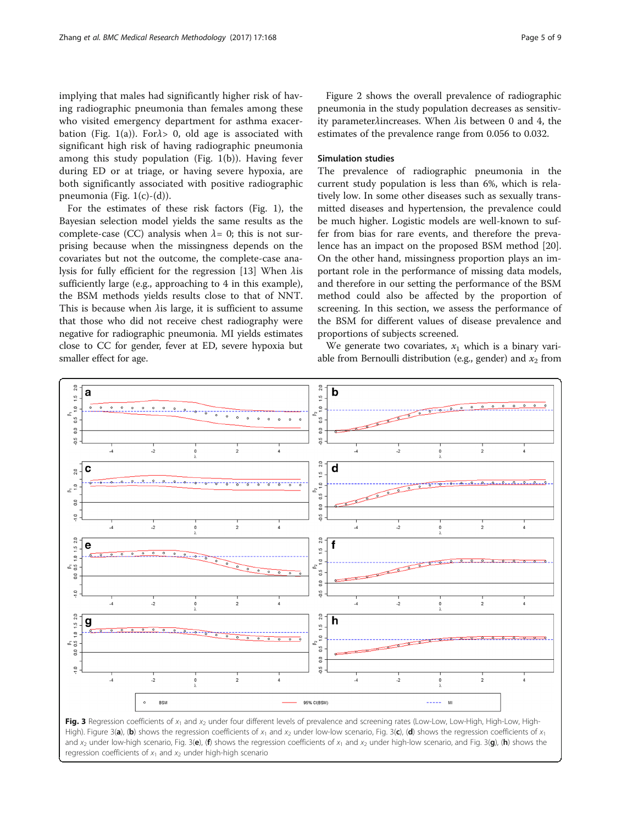<span id="page-4-0"></span>implying that males had significantly higher risk of having radiographic pneumonia than females among these who visited emergency department for asthma exacer-bation (Fig. [1\(a](#page-2-0))). For  $\lambda$  > 0, old age is associated with significant high risk of having radiographic pneumonia among this study population (Fig. [1\(b](#page-2-0))). Having fever during ED or at triage, or having severe hypoxia, are both significantly associated with positive radiographic pneumonia (Fig. [1\(c](#page-2-0))-[\(d\)](#page-2-0)).

For the estimates of these risk factors (Fig. [1\)](#page-2-0), the Bayesian selection model yields the same results as the complete-case (CC) analysis when  $\lambda = 0$ ; this is not surprising because when the missingness depends on the covariates but not the outcome, the complete-case analysis for fully efficient for the regression [\[13\]](#page-7-0) When λis sufficiently large (e.g., approaching to 4 in this example), the BSM methods yields results close to that of NNT. This is because when λis large, it is sufficient to assume that those who did not receive chest radiography were negative for radiographic pneumonia. MI yields estimates close to CC for gender, fever at ED, severe hypoxia but smaller effect for age.

Figure [2](#page-3-0) shows the overall prevalence of radiographic pneumonia in the study population decreases as sensitivity parameterλincreases. When λis between 0 and 4, the estimates of the prevalence range from 0.056 to 0.032.

## Simulation studies

The prevalence of radiographic pneumonia in the current study population is less than 6%, which is relatively low. In some other diseases such as sexually transmitted diseases and hypertension, the prevalence could be much higher. Logistic models are well-known to suffer from bias for rare events, and therefore the prevalence has an impact on the proposed BSM method [\[20](#page-8-0)]. On the other hand, missingness proportion plays an important role in the performance of missing data models, and therefore in our setting the performance of the BSM method could also be affected by the proportion of screening. In this section, we assess the performance of the BSM for different values of disease prevalence and proportions of subjects screened.

We generate two covariates,  $x_1$  which is a binary variable from Bernoulli distribution (e.g., gender) and  $x_2$  from



High). Figure 3(a), (b) shows the regression coefficients of  $x_1$  and  $x_2$  under low-low scenario, Fig. 3(c), (d) shows the regression coefficients of  $x_1$ and  $x_2$  under low-high scenario, Fig. 3(e), (f) shows the regression coefficients of  $x_1$  and  $x_2$  under high-low scenario, and Fig. 3(g), (h) shows the regression coefficients of  $x_1$  and  $x_2$  under high-high scenario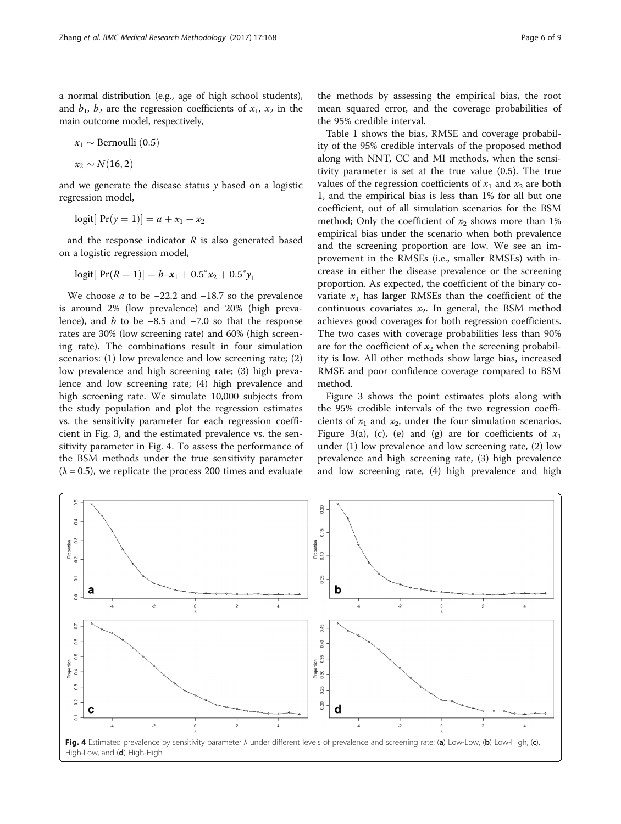<span id="page-5-0"></span>a normal distribution (e.g., age of high school students), and  $b_1$ ,  $b_2$  are the regression coefficients of  $x_1$ ,  $x_2$  in the main outcome model, respectively,

$$
x_1 \sim \text{Bernoulli } (0.5)
$$

$$
x_2 \sim N(16,2)
$$

and we generate the disease status  $y$  based on a logistic regression model,

$$
logit[ Pr(y = 1)] = a + x_1 + x_2
$$

and the response indicator  $R$  is also generated based on a logistic regression model,

logit[ 
$$
Pr(R = 1)
$$
] =  $b-x_1 + 0.5^*x_2 + 0.5^*y_1$ 

We choose a to be −22.2 and −18.7 so the prevalence is around 2% (low prevalence) and 20% (high prevalence), and b to be  $-8.5$  and  $-7.0$  so that the response rates are 30% (low screening rate) and 60% (high screening rate). The combinations result in four simulation scenarios: (1) low prevalence and low screening rate; (2) low prevalence and high screening rate; (3) high prevalence and low screening rate; (4) high prevalence and high screening rate. We simulate 10,000 subjects from the study population and plot the regression estimates vs. the sensitivity parameter for each regression coefficient in Fig. [3,](#page-4-0) and the estimated prevalence vs. the sensitivity parameter in Fig. 4. To assess the performance of the BSM methods under the true sensitivity parameter  $(\lambda = 0.5)$ , we replicate the process 200 times and evaluate

the methods by assessing the empirical bias, the root mean squared error, and the coverage probabilities of the 95% credible interval.

Table [1](#page-6-0) shows the bias, RMSE and coverage probability of the 95% credible intervals of the proposed method along with NNT, CC and MI methods, when the sensitivity parameter is set at the true value (0.5). The true values of the regression coefficients of  $x_1$  and  $x_2$  are both 1, and the empirical bias is less than 1% for all but one coefficient, out of all simulation scenarios for the BSM method; Only the coefficient of  $x_2$  shows more than 1% empirical bias under the scenario when both prevalence and the screening proportion are low. We see an improvement in the RMSEs (i.e., smaller RMSEs) with increase in either the disease prevalence or the screening proportion. As expected, the coefficient of the binary covariate  $x_1$  has larger RMSEs than the coefficient of the continuous covariates  $x_2$ . In general, the BSM method achieves good coverages for both regression coefficients. The two cases with coverage probabilities less than 90% are for the coefficient of  $x_2$  when the screening probability is low. All other methods show large bias, increased RMSE and poor confidence coverage compared to BSM method.

Figure [3](#page-4-0) shows the point estimates plots along with the 95% credible intervals of the two regression coefficients of  $x_1$  and  $x_2$ , under the four simulation scenarios. Figure [3\(a](#page-4-0)), [\(c\)](#page-4-0), [\(e\)](#page-4-0) and ([g\)](#page-4-0) are for coefficients of  $x_1$ under (1) low prevalence and low screening rate, (2) low prevalence and high screening rate, (3) high prevalence and low screening rate, (4) high prevalence and high

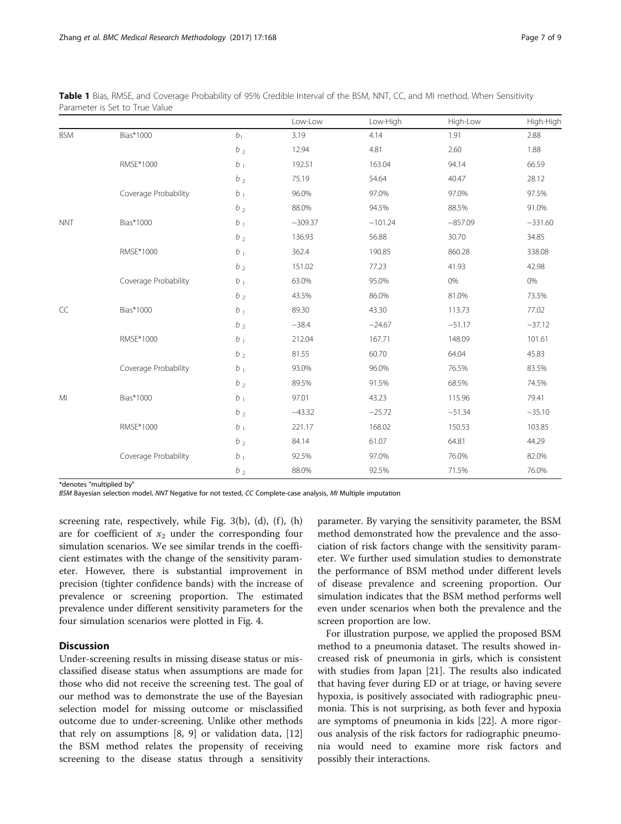|            |                      |                | Low-Low   | Low-High  | High-Low  | High-High |
|------------|----------------------|----------------|-----------|-----------|-----------|-----------|
| <b>BSM</b> | Bias*1000            | $b_1$          | 3.19      | 4.14      | 1.91      | 2.88      |
|            |                      | $b_2$          | 12.94     | 4.81      | 2.60      | 1.88      |
|            | RMSE*1000            | b <sub>1</sub> | 192.51    | 163.04    | 94.14     | 66.59     |
|            |                      | $b_2$          | 75.19     | 54.64     | 40.47     | 28.12     |
|            | Coverage Probability | b <sub>1</sub> | 96.0%     | 97.0%     | 97.0%     | 97.5%     |
|            |                      | $b_2$          | 88.0%     | 94.5%     | 88.5%     | 91.0%     |
| <b>NNT</b> | Bias*1000            | b <sub>1</sub> | $-309.37$ | $-101.24$ | $-857.09$ | $-331.60$ |
|            |                      | $b_{2}$        | 136.93    | 56.88     | 30.70     | 34.85     |
|            | RMSE*1000            | $b_1$          | 362.4     | 190.85    | 860.28    | 338.08    |
|            |                      | $b_2$          | 151.02    | 77.23     | 41.93     | 42.98     |
|            | Coverage Probability | b <sub>1</sub> | 63.0%     | 95.0%     | 0%        | 0%        |
|            |                      | $b_2$          | 43.5%     | 86.0%     | 81.0%     | 73.5%     |
| CC         | Bias*1000            | b <sub>1</sub> | 89.30     | 43.30     | 113.73    | 77.02     |
|            |                      | $b_2$          | $-38.4$   | $-24.67$  | $-51.17$  | $-37.12$  |
|            | RMSE*1000            | b <sub>1</sub> | 212.04    | 167.71    | 148.09    | 101.61    |
|            |                      | $b_2$          | 81.55     | 60.70     | 64.04     | 45.83     |
|            | Coverage Probability | b <sub>1</sub> | 93.0%     | 96.0%     | 76.5%     | 83.5%     |
|            |                      | $b_2$          | 89.5%     | 91.5%     | 68.5%     | 74.5%     |
| MI         | Bias*1000            | b <sub>1</sub> | 97.01     | 43.23     | 115.96    | 79.41     |
|            |                      | $b_{2}$        | $-43.32$  | $-25.72$  | $-51.34$  | $-35.10$  |
|            | RMSE*1000            | b <sub>1</sub> | 221.17    | 168.02    | 150.53    | 103.85    |
|            |                      | $b_2$          | 84.14     | 61.07     | 64.81     | 44.29     |
|            | Coverage Probability | $b_1$          | 92.5%     | 97.0%     | 76.0%     | 82.0%     |
|            |                      | b <sub>2</sub> | 88.0%     | 92.5%     | 71.5%     | 76.0%     |

<span id="page-6-0"></span>Table 1 Bias, RMSE, and Coverage Probability of 95% Credible Interval of the BSM, NNT, CC, and MI method, When Sensitivity Parameter is Set to True Value

\*denotes "multiplied by"

BSM Bayesian selection model, NNT Negative for not tested, CC Complete-case analysis, MI Multiple imputation

screening rate, respectively, while Fig.  $3(b)$ ,  $(d)$ ,  $(f)$ ,  $(h)$ are for coefficient of  $x_2$  under the corresponding four simulation scenarios. We see similar trends in the coefficient estimates with the change of the sensitivity parameter. However, there is substantial improvement in precision (tighter confidence bands) with the increase of prevalence or screening proportion. The estimated prevalence under different sensitivity parameters for the four simulation scenarios were plotted in Fig. [4](#page-5-0).

# **Discussion**

Under-screening results in missing disease status or misclassified disease status when assumptions are made for those who did not receive the screening test. The goal of our method was to demonstrate the use of the Bayesian selection model for missing outcome or misclassified outcome due to under-screening. Unlike other methods that rely on assumptions [\[8](#page-7-0), [9\]](#page-7-0) or validation data, [[12](#page-7-0)] the BSM method relates the propensity of receiving screening to the disease status through a sensitivity

parameter. By varying the sensitivity parameter, the BSM method demonstrated how the prevalence and the association of risk factors change with the sensitivity parameter. We further used simulation studies to demonstrate the performance of BSM method under different levels of disease prevalence and screening proportion. Our simulation indicates that the BSM method performs well even under scenarios when both the prevalence and the screen proportion are low.

For illustration purpose, we applied the proposed BSM method to a pneumonia dataset. The results showed increased risk of pneumonia in girls, which is consistent with studies from Japan [[21\]](#page-8-0). The results also indicated that having fever during ED or at triage, or having severe hypoxia, is positively associated with radiographic pneumonia. This is not surprising, as both fever and hypoxia are symptoms of pneumonia in kids [[22](#page-8-0)]. A more rigorous analysis of the risk factors for radiographic pneumonia would need to examine more risk factors and possibly their interactions.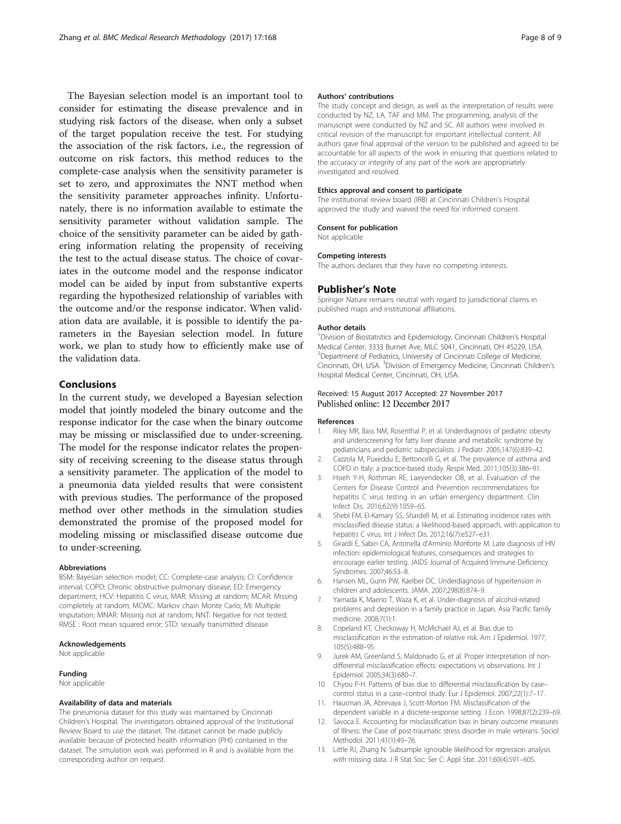<span id="page-7-0"></span>The Bayesian selection model is an important tool to consider for estimating the disease prevalence and in studying risk factors of the disease, when only a subset of the target population receive the test. For studying the association of the risk factors, i.e., the regression of outcome on risk factors, this method reduces to the complete-case analysis when the sensitivity parameter is set to zero, and approximates the NNT method when the sensitivity parameter approaches infinity. Unfortunately, there is no information available to estimate the sensitivity parameter without validation sample. The choice of the sensitivity parameter can be aided by gathering information relating the propensity of receiving the test to the actual disease status. The choice of covariates in the outcome model and the response indicator model can be aided by input from substantive experts regarding the hypothesized relationship of variables with the outcome and/or the response indicator. When validation data are available, it is possible to identify the parameters in the Bayesian selection model. In future work, we plan to study how to efficiently make use of the validation data.

# Conclusions

In the current study, we developed a Bayesian selection model that jointly modeled the binary outcome and the response indicator for the case when the binary outcome may be missing or misclassified due to under-screening. The model for the response indicator relates the propensity of receiving screening to the disease status through a sensitivity parameter. The application of the model to a pneumonia data yielded results that were consistent with previous studies. The performance of the proposed method over other methods in the simulation studies demonstrated the promise of the proposed model for modeling missing or misclassified disease outcome due to under-screening.

#### Abbreviations

BSM: Bayesian selection model; CC: Complete-case analysis; CI: Confidence interval; COPD: Chronic obstructive pulmonary disease; ED: Emergency department; HCV: Hepatitis C virus; MAR: Missing at random; MCAR: Missing completely at random; MCMC: Markov chain Monte Carlo; MI: Multiple imputation; MNAR: Missing not at random; NNT: Negative for not tested; RMSE : Root mean squared error; STD: sexually transmitted disease

#### Acknowledgements

Not applicable

#### Funding

Not applicable

## Availability of data and materials

The pneumonia dataset for this study was maintained by Cincinnati Children's Hospital. The investigators obtained approval of the Institutional Review Board to use the dataset. The dataset cannot be made publicly available because of protected health information (PHI) contained in the dataset. The simulation work was performed in R and is available from the corresponding author on request.

### Authors' contributions

The study concept and design, as well as the interpretation of results were conducted by NZ, LA, TAF and MM. The programming, analysis of the manuscript were conducted by NZ and SC. All authors were involved in critical revision of the manuscript for important intellectual content. All authors gave final approval of the version to be published and agreed to be accountable for all aspects of the work in ensuring that questions related to the accuracy or integrity of any part of the work are appropriately investigated and resolved.

#### Ethics approval and consent to participate

The institutional review board (IRB) at Cincinnati Children's Hospital approved the study and waived the need for informed consent.

#### Consent for publication

Not applicable

#### Competing interests

The authors declares that they have no competing interests.

#### Publisher's Note

Springer Nature remains neutral with regard to jurisdictional claims in published maps and institutional affiliations.

#### Author details

<sup>1</sup> Division of Biostatistics and Epidemiology, Cincinnati Children's Hospital Medical Center, 3333 Burnet Ave, MLC 5041, Cincinnati, OH 45229, USA. <sup>2</sup> Department of Pediatrics, University of Cincinnati College of Medicine Cincinnati, OH, USA. <sup>3</sup> Division of Emergency Medicine, Cincinnati Children's Hospital Medical Center, Cincinnati, OH, USA.

# Received: 15 August 2017 Accepted: 27 November 2017 Published online: 12 December 2017

#### References

- 1. Riley MR, Bass NM, Rosenthal P, et al. Underdiagnosis of pediatric obesity and underscreening for fatty liver disease and metabolic syndrome by pediatricians and pediatric subspecialists. J Pediatr. 2005;147(6):839–42.
- 2. Cazzola M, Puxeddu E, Bettoncelli G, et al. The prevalence of asthma and COPD in Italy: a practice-based study. Respir Med. 2011;105(3):386–91.
- 3. Hsieh Y-H, Rothman RE, Laeyendecker OB, et al. Evaluation of the Centers for Disease Control and Prevention recommendations for hepatitis C virus testing in an urban emergency department. Clin Infect Dis. 2016;62(9):1059–65.
- 4. Shebl FM, El-Kamary SS, Shardell M, et al. Estimating incidence rates with misclassified disease status: a likelihood-based approach, with application to hepatitis C virus. Int J Infect Dis. 2012;16(7):e527–e31.
- 5. Girardi E, Sabin CA, Antonella d'Arminio Monforte M. Late diagnosis of HIV infection: epidemiological features, consequences and strategies to encourage earlier testing. JAIDS Journal of Acquired Immune Deficiency Syndromes. 2007;46:S3–8.
- 6. Hansen ML, Gunn PW, Kaelber DC. Underdiagnosis of hypertension in children and adolescents. JAMA. 2007;298(8):874–9.
- 7. Yamada K, Maeno T, Waza K, et al. Under-diagnosis of alcohol-related problems and depression in a family practice in Japan. Asia Pacific family medicine. 2008;7(1):1.
- 8. Copeland KT, Checkoway H, McMichael AJ, et al. Bias due to misclassification in the estimation of relative risk. Am J Epidemiol. 1977; 105(5):488–95.
- 9. Jurek AM, Greenland S, Maldonado G, et al. Proper interpretation of nondifferential misclassification effects: expectations vs observations. Int J Epidemiol. 2005;34(3):680–7.
- 10. Chyou P-H. Patterns of bias due to differential misclassification by case– control status in a case–control study. Eur J Epidemiol. 2007;22(1):7–17.
- 11. Hausman JA, Abrevaya J, Scott-Morton FM. Misclassification of the dependent variable in a discrete-response setting. J Econ. 1998;87(2):239–69.
- 12. Savoca E. Accounting for misclassification bias in binary outcome measures of Illness: the Case of post-traumatic stress disorder in male veterans. Sociol Methodol. 2011;41(1):49–76.
- 13. Little RJ, Zhang N. Subsample ignorable likelihood for regression analysis with missing data. J R Stat Soc: Ser C: Appl Stat. 2011;60(4):591–605.